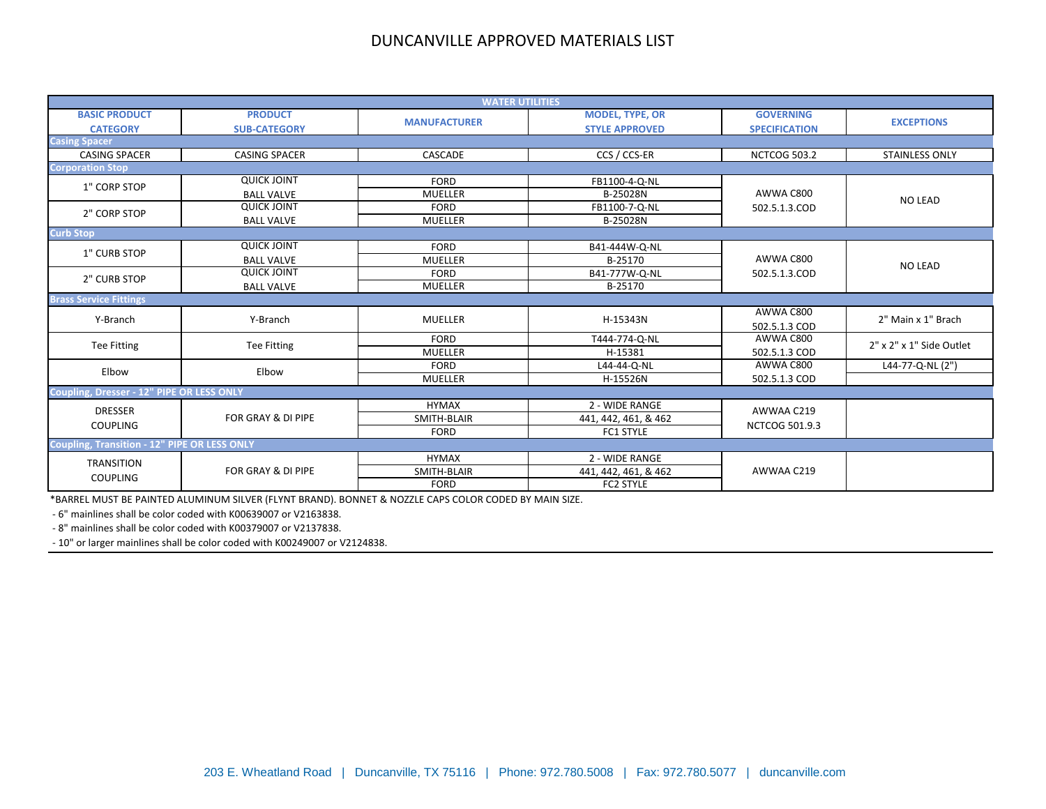| <b>WATER UTILITIES</b>                              |                                       |                     |                                                 |                                          |                                                |  |
|-----------------------------------------------------|---------------------------------------|---------------------|-------------------------------------------------|------------------------------------------|------------------------------------------------|--|
| <b>BASIC PRODUCT</b><br><b>CATEGORY</b>             | <b>PRODUCT</b><br><b>SUB-CATEGORY</b> | <b>MANUFACTURER</b> | <b>MODEL, TYPE, OR</b><br><b>STYLE APPROVED</b> | <b>GOVERNING</b><br><b>SPECIFICATION</b> | <b>EXCEPTIONS</b>                              |  |
| <b>Casing Spacer</b>                                |                                       |                     |                                                 |                                          |                                                |  |
| <b>CASING SPACER</b>                                | <b>CASING SPACER</b>                  | CASCADE             | CCS / CCS-ER                                    | <b>NCTCOG 503.2</b>                      | <b>STAINLESS ONLY</b>                          |  |
| <b>Corporation Stop</b>                             |                                       |                     |                                                 |                                          |                                                |  |
| 1" CORP STOP                                        | <b>QUICK JOINT</b>                    | <b>FORD</b>         | FB1100-4-Q-NL                                   |                                          |                                                |  |
|                                                     | <b>BALL VALVE</b>                     | <b>MUELLER</b>      | B-25028N                                        | AWWA C800                                | <b>NO LEAD</b>                                 |  |
| 2" CORP STOP                                        | <b>QUICK JOINT</b>                    | <b>FORD</b>         | FB1100-7-Q-NL                                   | 502.5.1.3.COD                            |                                                |  |
|                                                     | <b>BALL VALVE</b>                     | <b>MUELLER</b>      | B-25028N                                        |                                          |                                                |  |
| <b>Curb Stop</b>                                    |                                       |                     |                                                 |                                          |                                                |  |
| 1" CURB STOP                                        | <b>QUICK JOINT</b>                    | <b>FORD</b>         | B41-444W-Q-NL                                   |                                          | NO LEAD                                        |  |
|                                                     | <b>BALL VALVE</b>                     | <b>MUELLER</b>      | B-25170                                         | AWWA C800                                |                                                |  |
| 2" CURB STOP                                        | <b>QUICK JOINT</b>                    | <b>FORD</b>         | B41-777W-Q-NL                                   | 502.5.1.3.COD                            |                                                |  |
|                                                     | <b>BALL VALVE</b>                     | <b>MUELLER</b>      | B-25170                                         |                                          |                                                |  |
| <b>Brass Service Fittings</b>                       |                                       |                     |                                                 |                                          |                                                |  |
| Y-Branch                                            | Y-Branch                              | <b>MUELLER</b>      | H-15343N                                        | AWWA C800                                | 2" Main x 1" Brach<br>2" x 2" x 1" Side Outlet |  |
|                                                     |                                       |                     |                                                 | 502.5.1.3 COD                            |                                                |  |
| <b>Tee Fitting</b>                                  | <b>Tee Fitting</b>                    | <b>FORD</b>         | T444-774-Q-NL                                   | AWWA C800                                |                                                |  |
|                                                     |                                       | <b>MUELLER</b>      | H-15381                                         | 502.5.1.3 COD                            |                                                |  |
| Elbow                                               | Elbow                                 | <b>FORD</b>         | L44-44-Q-NL                                     | AWWA C800                                | L44-77-Q-NL (2")                               |  |
|                                                     |                                       | <b>MUELLER</b>      | H-15526N                                        | 502.5.1.3 COD                            |                                                |  |
| <b>Coupling, Dresser - 12" PIPE OR LESS ONLY</b>    |                                       |                     |                                                 |                                          |                                                |  |
| <b>DRESSER</b>                                      |                                       | <b>HYMAX</b>        | 2 - WIDE RANGE                                  | AWWAA C219                               |                                                |  |
| <b>COUPLING</b>                                     | FOR GRAY & DI PIPE                    | SMITH-BLAIR         | 441, 442, 461, & 462                            | <b>NCTCOG 501.9.3</b>                    |                                                |  |
|                                                     |                                       | <b>FORD</b>         | FC1 STYLE                                       |                                          |                                                |  |
| <b>Coupling, Transition - 12" PIPE OR LESS ONLY</b> |                                       |                     |                                                 |                                          |                                                |  |
| <b>TRANSITION</b>                                   |                                       | <b>HYMAX</b>        | 2 - WIDE RANGE                                  |                                          |                                                |  |
| <b>COUPLING</b>                                     | FOR GRAY & DI PIPE                    | SMITH-BLAIR         | 441, 442, 461, & 462                            | AWWAA C219                               |                                                |  |
|                                                     |                                       | <b>FORD</b>         | FC2 STYLE                                       |                                          |                                                |  |

\*BARREL MUST BE PAINTED ALUMINUM SILVER (FLYNT BRAND). BONNET & NOZZLE CAPS COLOR CODED BY MAIN SIZE.

- 6" mainlines shall be color coded with K00639007 or V2163838.

- 8" mainlines shall be color coded with K00379007 or V2137838.

- 10" or larger mainlines shall be color coded with K00249007 or V2124838.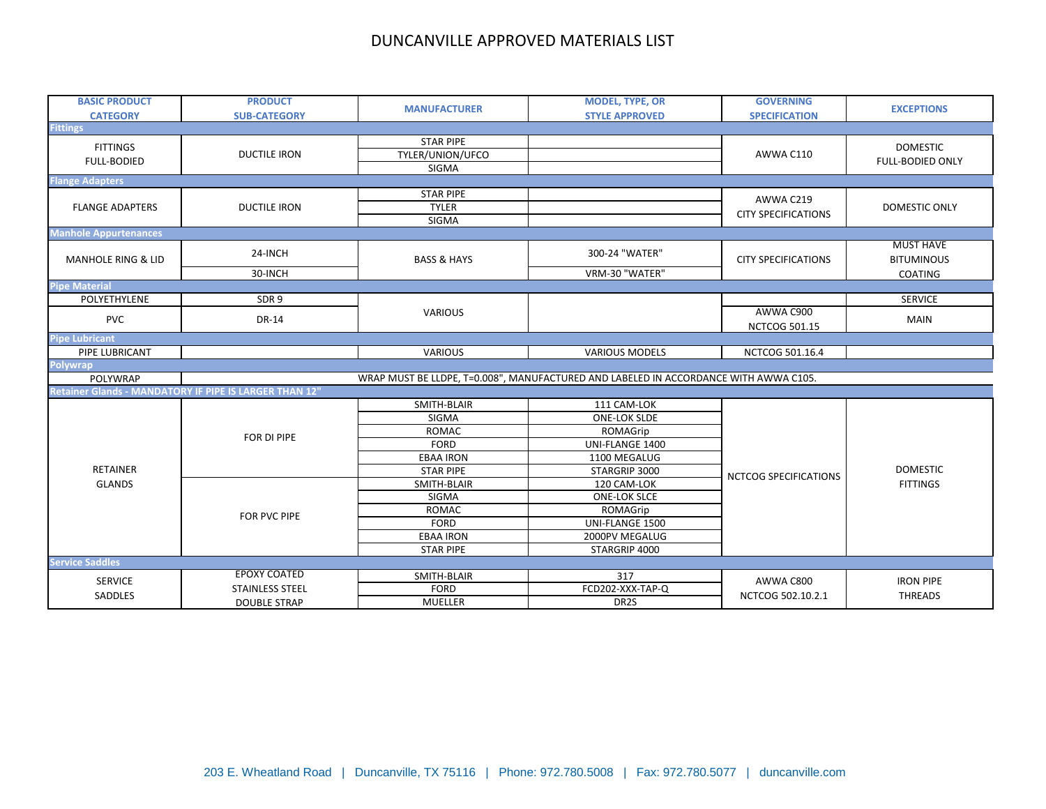| <b>BASIC PRODUCT</b>                  | <b>PRODUCT</b>                                         | <b>MANUFACTURER</b>    | <b>MODEL, TYPE, OR</b>                                                               | <b>GOVERNING</b>                  | <b>EXCEPTIONS</b>                     |
|---------------------------------------|--------------------------------------------------------|------------------------|--------------------------------------------------------------------------------------|-----------------------------------|---------------------------------------|
| <b>CATEGORY</b>                       | <b>SUB-CATEGORY</b>                                    |                        | <b>STYLE APPROVED</b>                                                                | <b>SPECIFICATION</b>              |                                       |
| <b>Fittings</b>                       |                                                        |                        |                                                                                      |                                   |                                       |
| <b>FITTINGS</b><br><b>FULL-BODIED</b> |                                                        | <b>STAR PIPE</b>       |                                                                                      |                                   | <b>DOMESTIC</b>                       |
|                                       | <b>DUCTILE IRON</b>                                    | TYLER/UNION/UFCO       |                                                                                      | AWWA C110                         | <b>FULL-BODIED ONLY</b>               |
|                                       |                                                        | SIGMA                  |                                                                                      |                                   |                                       |
| <b>Flange Adapters</b>                |                                                        |                        |                                                                                      |                                   |                                       |
|                                       |                                                        | <b>STAR PIPE</b>       |                                                                                      | AWWA C219                         |                                       |
| <b>FLANGE ADAPTERS</b>                | <b>DUCTILE IRON</b>                                    | <b>TYLER</b>           |                                                                                      | <b>CITY SPECIFICATIONS</b>        | DOMESTIC ONLY                         |
|                                       |                                                        | SIGMA                  |                                                                                      |                                   |                                       |
| <b>Manhole Appurtenances</b>          |                                                        |                        |                                                                                      |                                   |                                       |
| <b>MANHOLE RING &amp; LID</b>         | 24-INCH                                                | <b>BASS &amp; HAYS</b> | 300-24 "WATER"                                                                       | <b>CITY SPECIFICATIONS</b>        | <b>MUST HAVE</b><br><b>BITUMINOUS</b> |
|                                       | 30-INCH                                                |                        | VRM-30 "WATER"                                                                       |                                   | COATING                               |
| <b>Pipe Material</b>                  |                                                        |                        |                                                                                      |                                   |                                       |
| POLYETHYLENE                          | SDR9                                                   |                        |                                                                                      |                                   | <b>SERVICE</b>                        |
| <b>PVC</b>                            | DR-14                                                  | <b>VARIOUS</b>         |                                                                                      | AWWA C900<br><b>NCTCOG 501.15</b> | <b>MAIN</b>                           |
| <b>Pipe Lubricant</b>                 |                                                        |                        |                                                                                      |                                   |                                       |
| PIPE LUBRICANT                        |                                                        | <b>VARIOUS</b>         | <b>VARIOUS MODELS</b>                                                                | NCTCOG 501.16.4                   |                                       |
| <b>Polywrap</b>                       |                                                        |                        |                                                                                      |                                   |                                       |
| POLYWRAP                              |                                                        |                        | WRAP MUST BE LLDPE, T=0.008", MANUFACTURED AND LABELED IN ACCORDANCE WITH AWWA C105. |                                   |                                       |
|                                       | Retainer Glands - MANDATORY IF PIPE IS LARGER THAN 12" |                        |                                                                                      |                                   |                                       |
|                                       |                                                        | SMITH-BLAIR            | 111 CAM-LOK                                                                          |                                   |                                       |
|                                       |                                                        | SIGMA                  | <b>ONE-LOK SLDE</b>                                                                  |                                   |                                       |
|                                       |                                                        | <b>ROMAC</b>           | ROMAGrip                                                                             |                                   |                                       |
|                                       | FOR DI PIPE                                            | <b>FORD</b>            | UNI-FLANGE 1400                                                                      |                                   |                                       |
|                                       |                                                        | <b>EBAA IRON</b>       | 1100 MEGALUG                                                                         |                                   |                                       |
| <b>RETAINER</b>                       |                                                        | <b>STAR PIPE</b>       | STARGRIP 3000                                                                        | NCTCOG SPECIFICATIONS             | <b>DOMESTIC</b><br><b>FITTINGS</b>    |
| <b>GLANDS</b>                         |                                                        | SMITH-BLAIR            | 120 CAM-LOK                                                                          |                                   |                                       |
|                                       |                                                        | SIGMA                  | <b>ONE-LOK SLCE</b>                                                                  |                                   |                                       |
|                                       | FOR PVC PIPE                                           | <b>ROMAC</b>           | ROMAGrip                                                                             |                                   |                                       |
|                                       |                                                        | <b>FORD</b>            | UNI-FLANGE 1500                                                                      |                                   |                                       |
|                                       |                                                        | <b>EBAA IRON</b>       | 2000PV MEGALUG                                                                       |                                   |                                       |
|                                       |                                                        | <b>STAR PIPE</b>       | STARGRIP 4000                                                                        |                                   |                                       |
| <b>Service Saddles</b>                |                                                        |                        |                                                                                      |                                   |                                       |
| <b>SERVICE</b>                        | <b>EPOXY COATED</b>                                    | SMITH-BLAIR            | 317                                                                                  | AWWA C800                         | <b>IRON PIPE</b>                      |
|                                       | <b>STAINLESS STEEL</b>                                 | <b>FORD</b>            | FCD202-XXX-TAP-Q                                                                     | NCTCOG 502.10.2.1                 | <b>THREADS</b>                        |
| SADDLES                               | <b>DOUBLE STRAP</b>                                    | MUELLER                | DR2S                                                                                 |                                   |                                       |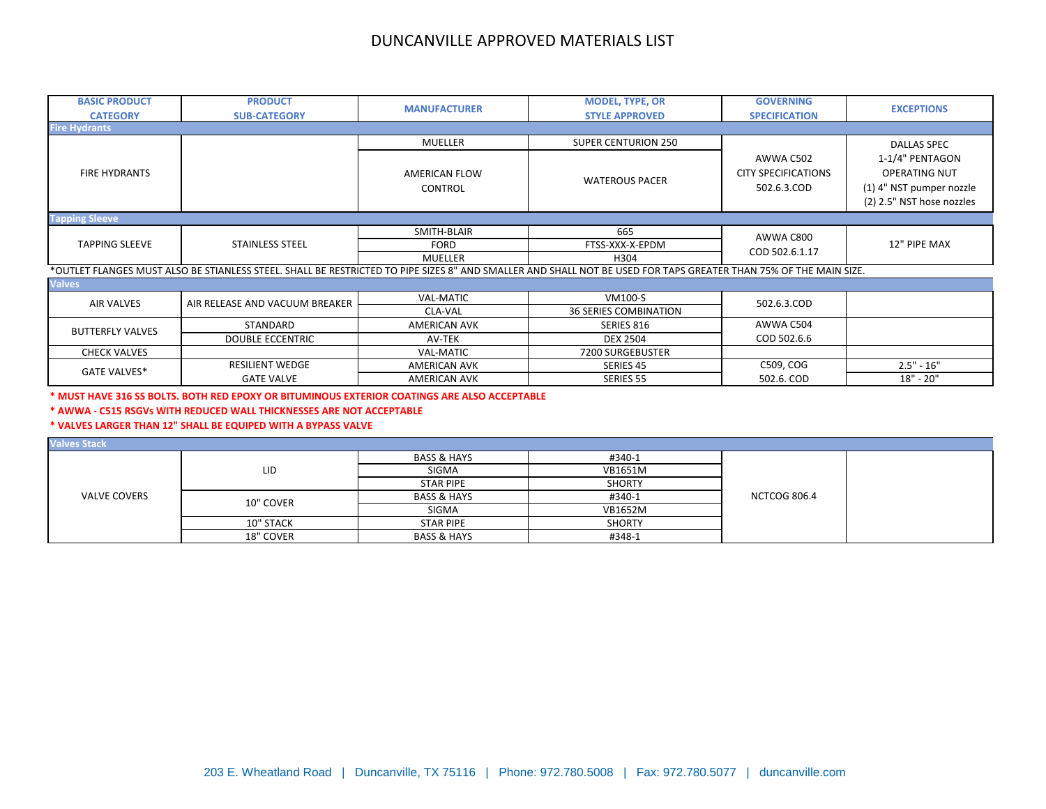| <b>BASIC PRODUCT</b><br><b>CATEGORY</b> | <b>PRODUCT</b><br><b>SUB-CATEGORY</b>                                                                                                                            | <b>MANUFACTURER</b>  | <b>MODEL, TYPE, OR</b><br><b>STYLE APPROVED</b> | <b>GOVERNING</b><br><b>SPECIFICATION</b> | <b>EXCEPTIONS</b>         |  |  |  |
|-----------------------------------------|------------------------------------------------------------------------------------------------------------------------------------------------------------------|----------------------|-------------------------------------------------|------------------------------------------|---------------------------|--|--|--|
| <b>Fire Hydrants</b>                    |                                                                                                                                                                  |                      |                                                 |                                          |                           |  |  |  |
|                                         |                                                                                                                                                                  | <b>MUELLER</b>       | <b>SUPER CENTURION 250</b>                      |                                          | <b>DALLAS SPEC</b>        |  |  |  |
|                                         |                                                                                                                                                                  |                      |                                                 | AWWA C502                                | 1-1/4" PENTAGON           |  |  |  |
| <b>FIRE HYDRANTS</b>                    |                                                                                                                                                                  | <b>AMERICAN FLOW</b> |                                                 | <b>CITY SPECIFICATIONS</b>               | <b>OPERATING NUT</b>      |  |  |  |
|                                         |                                                                                                                                                                  | <b>CONTROL</b>       | <b>WATEROUS PACER</b>                           | 502.6.3.COD                              | (1) 4" NST pumper nozzle  |  |  |  |
|                                         |                                                                                                                                                                  |                      |                                                 |                                          | (2) 2.5" NST hose nozzles |  |  |  |
| <b>Tapping Sleeve</b>                   |                                                                                                                                                                  |                      |                                                 |                                          |                           |  |  |  |
|                                         |                                                                                                                                                                  | SMITH-BLAIR          | 665                                             |                                          |                           |  |  |  |
| <b>TAPPING SLEEVE</b>                   | <b>STAINLESS STEEL</b>                                                                                                                                           | <b>FORD</b>          | FTSS-XXX-X-EPDM                                 | AWWA C800                                | 12" PIPE MAX              |  |  |  |
|                                         |                                                                                                                                                                  | MUELLER              | H304                                            | COD 502.6.1.17                           |                           |  |  |  |
|                                         | *OUTLET FLANGES MUST ALSO BE STIANLESS STEEL. SHALL BE RESTRICTED TO PIPE SIZES 8" AND SMALLER AND SHALL NOT BE USED FOR TAPS GREATER THAN 75% OF THE MAIN SIZE. |                      |                                                 |                                          |                           |  |  |  |
| <b>Valves</b>                           |                                                                                                                                                                  |                      |                                                 |                                          |                           |  |  |  |
| <b>AIR VALVES</b>                       | AIR RELEASE AND VACUUM BREAKER                                                                                                                                   | <b>VAL-MATIC</b>     | VM100-S                                         | 502.6.3.COD                              |                           |  |  |  |
|                                         |                                                                                                                                                                  | CLA-VAL              | <b>36 SERIES COMBINATION</b>                    |                                          |                           |  |  |  |
|                                         | STANDARD                                                                                                                                                         | <b>AMERICAN AVK</b>  | SERIES 816                                      | AWWA C504                                |                           |  |  |  |
| <b>BUTTERFLY VALVES</b>                 | <b>DOUBLE ECCENTRIC</b>                                                                                                                                          | AV-TEK               | <b>DEX 2504</b>                                 | COD 502.6.6                              |                           |  |  |  |
| <b>CHECK VALVES</b>                     |                                                                                                                                                                  | <b>VAL-MATIC</b>     | 7200 SURGEBUSTER                                |                                          |                           |  |  |  |
| <b>GATE VALVES*</b>                     | <b>RESILIENT WEDGE</b>                                                                                                                                           | <b>AMERICAN AVK</b>  | SERIES 45                                       | C509, COG                                | $2.5" - 16"$              |  |  |  |
|                                         | <b>GATE VALVE</b>                                                                                                                                                | <b>AMERICAN AVK</b>  | <b>SERIES 55</b>                                | 502.6. COD                               | 18" - 20"                 |  |  |  |

**\* MUST HAVE 316 SS BOLTS. BOTH RED EPOXY OR BITUMINOUS EXTERIOR COATINGS ARE ALSO ACCEPTABLE**

**\* AWWA - C515 RSGVs WITH REDUCED WALL THICKNESSES ARE NOT ACCEPTABLE**

**\* VALVES LARGER THAN 12" SHALL BE EQUIPED WITH A BYPASS VALVE**

| <b>Valves Stack</b> |           |                        |               |                     |  |
|---------------------|-----------|------------------------|---------------|---------------------|--|
| <b>VALVE COVERS</b> | LID       | <b>BASS &amp; HAYS</b> | #340-1        | <b>NCTCOG 806.4</b> |  |
|                     |           | SIGMA                  | VB1651M       |                     |  |
|                     |           | <b>STAR PIPE</b>       | <b>SHORTY</b> |                     |  |
|                     | 10" COVER | <b>BASS &amp; HAYS</b> | #340-1        |                     |  |
|                     |           | SIGMA                  | VB1652M       |                     |  |
|                     | 10" STACK | <b>STAR PIPE</b>       | <b>SHORTY</b> |                     |  |
|                     | 18" COVER | <b>BASS &amp; HAYS</b> | #348-1        |                     |  |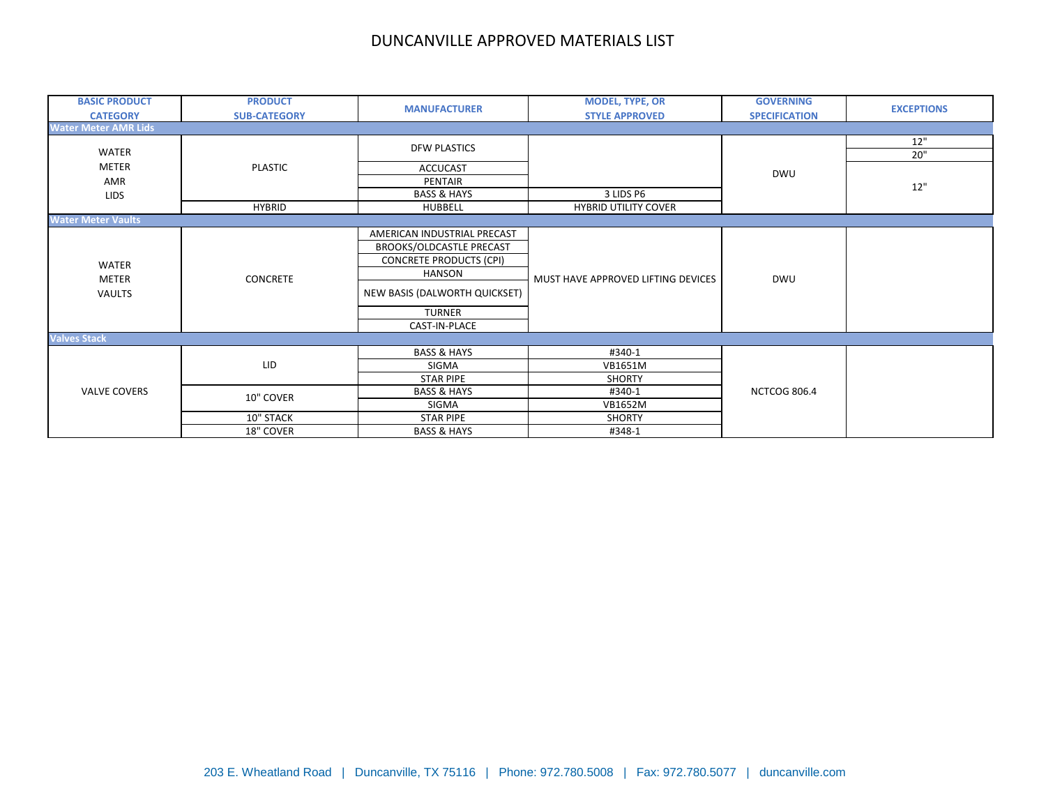| <b>BASIC PRODUCT</b>        | <b>PRODUCT</b>      | <b>MANUFACTURER</b>            | <b>MODEL, TYPE, OR</b>             | <b>GOVERNING</b>     | <b>EXCEPTIONS</b> |
|-----------------------------|---------------------|--------------------------------|------------------------------------|----------------------|-------------------|
| <b>CATEGORY</b>             | <b>SUB-CATEGORY</b> |                                | <b>STYLE APPROVED</b>              | <b>SPECIFICATION</b> |                   |
| <b>Water Meter AMR Lids</b> |                     |                                |                                    |                      |                   |
|                             |                     | <b>DFW PLASTICS</b>            |                                    |                      | 12"               |
| WATER                       |                     |                                |                                    |                      | 20"               |
| <b>METER</b>                | <b>PLASTIC</b>      | <b>ACCUCAST</b>                |                                    | DWU                  |                   |
| AMR                         |                     | PENTAIR                        |                                    |                      | $12"$             |
| <b>LIDS</b>                 |                     | <b>BASS &amp; HAYS</b>         | 3 LIDS P6                          |                      |                   |
|                             | <b>HYBRID</b>       | HUBBELL                        | <b>HYBRID UTILITY COVER</b>        |                      |                   |
| <b>Water Meter Vaults</b>   |                     |                                |                                    |                      |                   |
|                             |                     | AMERICAN INDUSTRIAL PRECAST    |                                    | DWU                  |                   |
|                             | CONCRETE            | BROOKS/OLDCASTLE PRECAST       | MUST HAVE APPROVED LIFTING DEVICES |                      |                   |
| WATER<br>METER              |                     | <b>CONCRETE PRODUCTS (CPI)</b> |                                    |                      |                   |
|                             |                     | <b>HANSON</b>                  |                                    |                      |                   |
| VAULTS                      |                     | NEW BASIS (DALWORTH QUICKSET)  |                                    |                      |                   |
|                             |                     | <b>TURNER</b>                  |                                    |                      |                   |
|                             |                     | CAST-IN-PLACE                  |                                    |                      |                   |
| <b>Valves Stack</b>         |                     |                                |                                    |                      |                   |
|                             | LID                 | <b>BASS &amp; HAYS</b>         | #340-1                             |                      |                   |
|                             |                     | SIGMA                          | <b>VB1651M</b>                     |                      |                   |
| <b>VALVE COVERS</b>         |                     | <b>STAR PIPE</b>               | <b>SHORTY</b>                      |                      |                   |
|                             | 10" COVER           | <b>BASS &amp; HAYS</b>         | #340-1                             | <b>NCTCOG 806.4</b>  |                   |
|                             |                     | SIGMA                          | <b>VB1652M</b>                     |                      |                   |
|                             | 10" STACK           | <b>STAR PIPE</b>               | <b>SHORTY</b>                      |                      |                   |
|                             | 18" COVER           | <b>BASS &amp; HAYS</b>         | #348-1                             |                      |                   |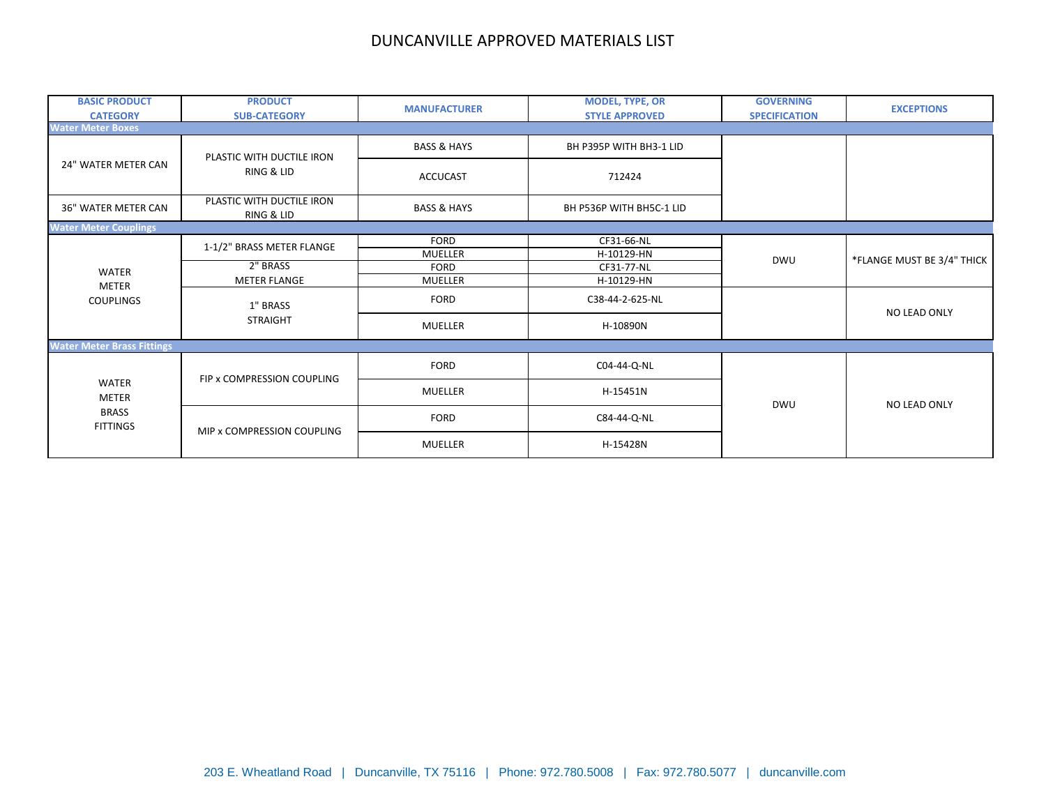| <b>BASIC PRODUCT</b><br><b>CATEGORY</b>                  | <b>PRODUCT</b><br><b>SUB-CATEGORY</b>   | <b>MANUFACTURER</b>    | <b>MODEL, TYPE, OR</b><br><b>STYLE APPROVED</b> | <b>GOVERNING</b><br><b>SPECIFICATION</b> | <b>EXCEPTIONS</b>          |
|----------------------------------------------------------|-----------------------------------------|------------------------|-------------------------------------------------|------------------------------------------|----------------------------|
| <b>Water Meter Boxes</b>                                 |                                         |                        |                                                 |                                          |                            |
|                                                          | PLASTIC WITH DUCTILE IRON<br>RING & LID | <b>BASS &amp; HAYS</b> | BH P395P WITH BH3-1 LID                         |                                          |                            |
| 24" WATER METER CAN                                      |                                         | <b>ACCUCAST</b>        | 712424                                          |                                          |                            |
| 36" WATER METER CAN                                      | PLASTIC WITH DUCTILE IRON<br>RING & LID | <b>BASS &amp; HAYS</b> | BH P536P WITH BH5C-1 LID                        |                                          |                            |
| <b>Water Meter Couplings</b>                             |                                         |                        |                                                 |                                          |                            |
|                                                          | 1-1/2" BRASS METER FLANGE               | <b>FORD</b>            | CF31-66-NL                                      |                                          | *FLANGE MUST BE 3/4" THICK |
|                                                          |                                         | MUELLER                | H-10129-HN                                      | <b>DWU</b>                               |                            |
| <b>WATER</b>                                             | 2" BRASS                                | <b>FORD</b>            | CF31-77-NL                                      |                                          |                            |
| METER                                                    | <b>METER FLANGE</b>                     | <b>MUELLER</b>         | H-10129-HN                                      |                                          |                            |
| <b>COUPLINGS</b>                                         | 1" BRASS                                | <b>FORD</b>            | C38-44-2-625-NL                                 |                                          | NO LEAD ONLY               |
|                                                          | <b>STRAIGHT</b>                         | MUELLER                | H-10890N                                        |                                          |                            |
| <b>Water Meter Brass Fittings</b>                        |                                         |                        |                                                 |                                          |                            |
|                                                          | FIP x COMPRESSION COUPLING              | <b>FORD</b>            | C04-44-Q-NL                                     |                                          |                            |
| WATER<br><b>METER</b><br><b>BRASS</b><br><b>FITTINGS</b> |                                         | <b>MUELLER</b>         | H-15451N                                        | <b>DWU</b>                               | NO LEAD ONLY               |
|                                                          | MIP x COMPRESSION COUPLING              | <b>FORD</b>            | C84-44-Q-NL                                     |                                          |                            |
|                                                          |                                         | <b>MUELLER</b>         | H-15428N                                        |                                          |                            |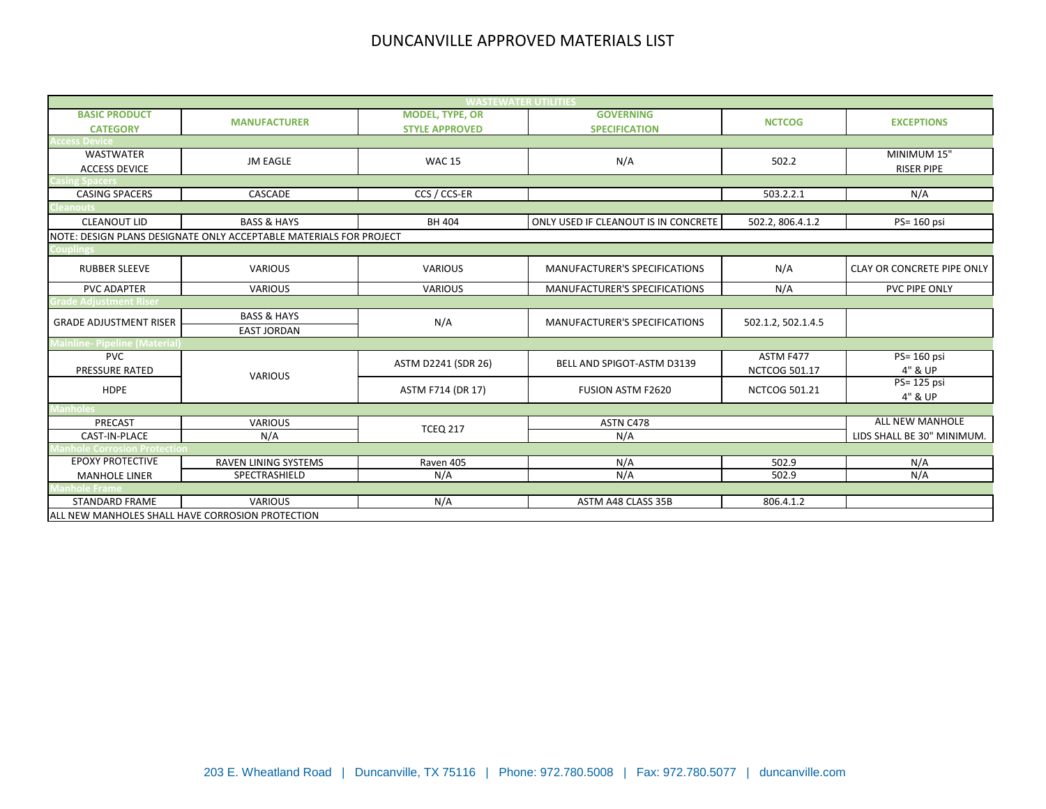| <b>WASTEWATER UTILITIES</b>                      |                                                                    |                                                 |                                          |                      |                                  |  |
|--------------------------------------------------|--------------------------------------------------------------------|-------------------------------------------------|------------------------------------------|----------------------|----------------------------------|--|
| <b>BASIC PRODUCT</b><br><b>CATEGORY</b>          | <b>MANUFACTURER</b>                                                | <b>MODEL, TYPE, OR</b><br><b>STYLE APPROVED</b> | <b>GOVERNING</b><br><b>SPECIFICATION</b> | <b>NCTCOG</b>        | <b>EXCEPTIONS</b>                |  |
| cess Device                                      |                                                                    |                                                 |                                          |                      |                                  |  |
| <b>WASTWATER</b><br><b>ACCESS DEVICE</b>         | <b>JM EAGLE</b>                                                    | <b>WAC 15</b>                                   | N/A                                      | 502.2                | MINIMUM 15"<br><b>RISER PIPE</b> |  |
|                                                  |                                                                    |                                                 |                                          |                      |                                  |  |
| <b>CASING SPACERS</b>                            | CASCADE                                                            | CCS / CCS-ER                                    |                                          | 503.2.2.1            | N/A                              |  |
| anout:                                           |                                                                    |                                                 |                                          |                      |                                  |  |
| <b>CLEANOUT LID</b>                              | <b>BASS &amp; HAYS</b>                                             | BH 404                                          | ONLY USED IF CLEANOUT IS IN CONCRETE     | 502.2, 806.4.1.2     | PS= 160 psi                      |  |
|                                                  | NOTE: DESIGN PLANS DESIGNATE ONLY ACCEPTABLE MATERIALS FOR PROJECT |                                                 |                                          |                      |                                  |  |
| ouplings                                         |                                                                    |                                                 |                                          |                      |                                  |  |
| <b>RUBBER SLEEVE</b>                             | <b>VARIOUS</b>                                                     | <b>VARIOUS</b>                                  | MANUFACTURER'S SPECIFICATIONS            | N/A                  | CLAY OR CONCRETE PIPE ONLY       |  |
| <b>PVC ADAPTER</b>                               | <b>VARIOUS</b>                                                     | <b>VARIOUS</b>                                  | MANUFACTURER'S SPECIFICATIONS            | N/A                  | PVC PIPE ONLY                    |  |
| ade Adjustment Riser                             |                                                                    |                                                 |                                          |                      |                                  |  |
| <b>GRADE ADJUSTMENT RISER</b>                    | <b>BASS &amp; HAYS</b>                                             | N/A                                             | <b>MANUFACTURER'S SPECIFICATIONS</b>     | 502.1.2, 502.1.4.5   |                                  |  |
|                                                  | <b>EAST JORDAN</b>                                                 |                                                 |                                          |                      |                                  |  |
| <b>Mainline- Pipeline (Material</b>              |                                                                    |                                                 |                                          |                      |                                  |  |
| <b>PVC</b>                                       |                                                                    | ASTM D2241 (SDR 26)                             | BELL AND SPIGOT-ASTM D3139               | ASTM F477            | PS= 160 psi                      |  |
| PRESSURE RATED                                   | <b>VARIOUS</b>                                                     |                                                 |                                          | <b>NCTCOG 501.17</b> | 4" & UP                          |  |
| <b>HDPE</b>                                      |                                                                    | ASTM F714 (DR 17)                               | <b>FUSION ASTM F2620</b>                 | <b>NCTCOG 501.21</b> | PS= 125 psi<br>4" & UP           |  |
| anholes                                          |                                                                    |                                                 |                                          |                      |                                  |  |
| PRECAST                                          | <b>VARIOUS</b>                                                     |                                                 | ASTN C478                                |                      | <b>ALL NEW MANHOLE</b>           |  |
| CAST-IN-PLACE                                    | N/A                                                                | <b>TCEQ 217</b>                                 | N/A                                      |                      | LIDS SHALL BE 30" MINIMUM.       |  |
| nhole Corrosion Protectior                       |                                                                    |                                                 |                                          |                      |                                  |  |
| <b>EPOXY PROTECTIVE</b>                          | RAVEN LINING SYSTEMS                                               | Raven 405                                       | N/A                                      | 502.9                | N/A                              |  |
| <b>MANHOLE LINER</b>                             | SPECTRASHIELD                                                      | N/A                                             | N/A                                      | 502.9                | N/A                              |  |
| hole Frame                                       |                                                                    |                                                 |                                          |                      |                                  |  |
| <b>STANDARD FRAME</b>                            | <b>VARIOUS</b>                                                     | N/A                                             | ASTM A48 CLASS 35B                       | 806.4.1.2            |                                  |  |
| ALL NEW MANHOLES SHALL HAVE CORROSION PROTECTION |                                                                    |                                                 |                                          |                      |                                  |  |